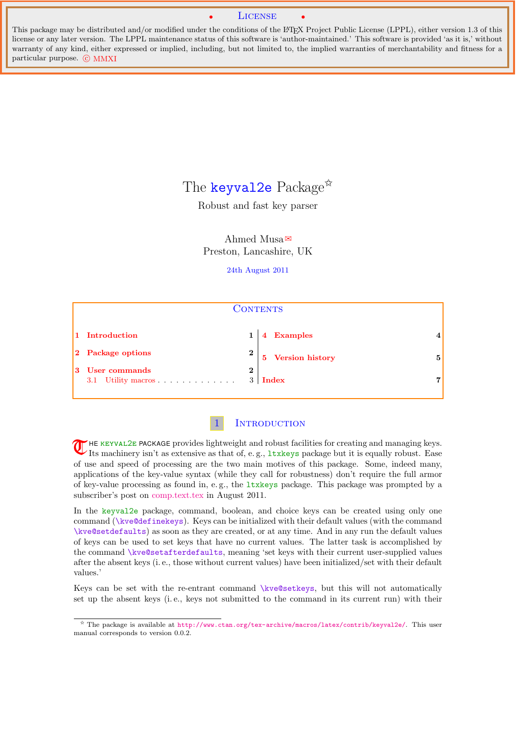#### **LICENSE**

<span id="page-0-2"></span><span id="page-0-1"></span>This package may be distributed and/or modified under the conditions of the LATEX Project Public License (LPPL), either version 1.3 of this license or any later version. The LPPL maintenance status of this software is 'author-maintained.' This software is provided 'as it is,' without warranty of any kind, either expressed or implied, including, but not limited to, the implied warranties of merchantability and fitness for a particular purpose. © MMXI

# The [keyval2e](http://www.ctan.org/tex-archive/macros/latex/contrib/keyval2e/) Package<sup> $\star$ </sup>

Robust and fast key parser

Ahmed Musa  Preston, Lancashire, UK

#### 24th August 2011

| <b>CONTENTS</b>                          |                   |                   |   |  |
|------------------------------------------|-------------------|-------------------|---|--|
| 1 Introduction                           |                   | 4 Examples        |   |  |
| 2 Package options                        | $\boldsymbol{2}$  | 5 Version history | 5 |  |
| 3 User commands<br>Utility macros<br>3.1 | $\bf{2}$<br>$3^-$ | Index             | 7 |  |



<span id="page-0-0"></span>**T** HE KEYVAL2E PACKAGE provides lightweight and robust facilities for creating and managing keys. Its machinery isn't as extensive as that of, e.g., ltxkeys package but it is equally robust. Ease of use and speed of processing are the two main motives of this package. Some, indeed many, applications of the key-value syntax (while they call for robustness) don't require the full armor of key-value processing as found in, e. g., the ltxkeys package. This package was prompted by a subscriber's post on [comp.text.tex](https://groups.google.com/forum/#!forum/comp.text.tex) in August 2011.

In the keyval2e package, command, boolean, and choice keys can be created using only one command (\kve@definekeys). Keys can be initialized with their default values (with the command \kve@setdefaults) as soon as they are created, or at any time. And in any run the default values of keys can be used to set keys that have no current values. The latter task is accomplished by the command \kve@setafterdefaults, meaning 'set keys with their current user-supplied values after the absent keys (i. e., those without current values) have been initialized/set with their default values.'

Keys can be set with the re-entrant command \kve@setkeys, but this will not automatically set up the absent keys (i. e., keys not submitted to the command in its current run) with their

<sup>✩</sup> The package is available at <http://www.ctan.org/tex-archive/macros/latex/contrib/keyval2e/>. This user manual corresponds to version 0.0.2.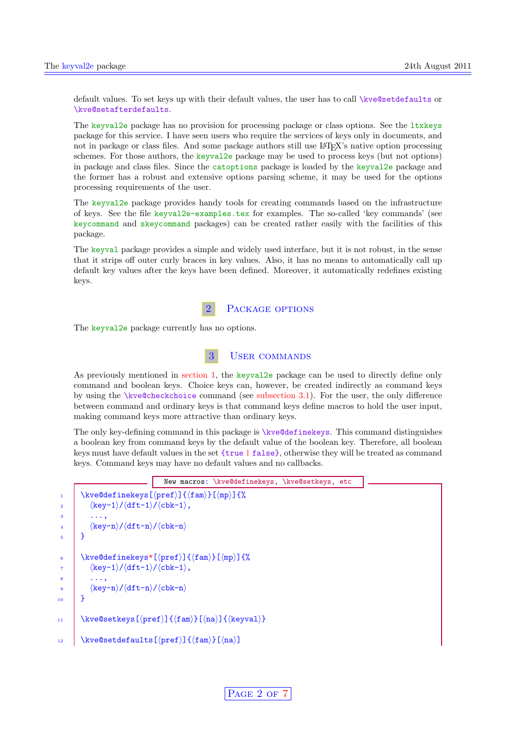<span id="page-1-2"></span>default values. To set keys up with their default values, the user has to call \kve@setdefaults or \kve@setafterdefaults.

The keyval2e package has no provision for processing package or class options. See the  $1$ txkeys package for this service. I have seen users who require the services of keys only in documents, and not in package or class files. And some package authors still use L<sup>AT</sup>FX's native option processing schemes. For those authors, the keyval2e package may be used to process keys (but not options) in package and class files. Since the catoptions package is loaded by the keyval2e package and the former has a robust and extensive options parsing scheme, it may be used for the options processing requirements of the user.

The keyval2e package provides handy tools for creating commands based on the infrastructure of keys. See the file keyval2e-examples.tex for examples. The so-called 'key commands' (see keycommand and skeycommand packages) can be created rather easily with the facilities of this package.

The keyval package provides a simple and widely used interface, but it is not robust, in the sense that it strips off outer curly braces in key values. Also, it has no means to automatically call up default key values after the keys have been defined. Moreover, it automatically redefines existing keys.



<span id="page-1-1"></span><span id="page-1-0"></span>The keyval<sub>2</sub>e package currently has no options.

## 3 User commands

As previously mentioned in [section 1,](#page-0-0) the keyval2e package can be used to directly define only command and boolean keys. Choice keys can, however, be created indirectly as command keys by using the \kve@checkchoice command (see [subsection 3.1\)](#page-2-0). For the user, the only difference between command and ordinary keys is that command keys define macros to hold the user input, making command keys more attractive than ordinary keys.

The only key-defining command in this package is \kve@definekeys. This command distinguishes a boolean key from command keys by the default value of the boolean key. Therefore, all boolean keys must have default values in the set {true | false}, otherwise they will be treated as command keys. Command keys may have no default values and no callbacks.

```
New macros: \kve@definekeys, \kve@setkeys, etc
           \kappa \text{1} \ \frac{1}{\frac{m}{\hbar}}2 \langle \text{key-1}\rangle / \langle \text{dft-1}\rangle / \langle \text{cbk-1}\rangle,
 3 \mid \ldots,4 \langle \text{key-n}\rangle/ \langle \text{dft-n}\rangle / \langle \text{cbk-n}\rangle5 \mid \}6 \kve@definekeys*[\preccurlyeq[\frac{1}{\gamma}]{\frac{m}{\gamma}]{%
              \langle key-1\rangle/\langle dft-1\rangle/\langle cbk-1\rangle,\begin{array}{c|c} \hline \end{array} ...,
9 \langle \text{key-n}\rangle/ \langle \text{dft-n}\rangle / \langle \text{cbk-n}\rangle10 \mid \}11 \kve@setkeys[\langlepref\rangle]{\langlefam\rangle}[\langlena)]{\langlekeyval\rangle}
12 \chikve@setdefaults[\langlepref\rangle]{\langlefam\rangle}[\langlena)]
```
PAGE 2 OF [7](#page-4-0)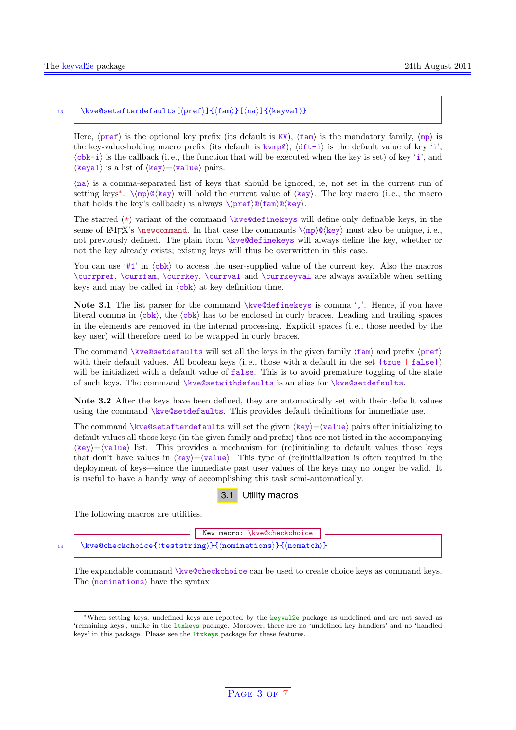#### <span id="page-2-2"></span>13  $\chi$ kve@setafterdefaults[(pref)]{(fam)}[(na)]{(keyval)}

Here,  $\langle \text{pref} \rangle$  is the optional key prefix (its default is KV),  $\langle \text{fam} \rangle$  is the mandatory family,  $\langle \text{mp} \rangle$  is the key-value-holding macro prefix (its default is  $kvmp@$ ),  $\langle dft-i \rangle$  is the default value of key 'i',  $\langle$ cbk-i) is the callback (i. e., the function that will be executed when the key is set) of key 'i', and  $\langle$ keyal $\rangle$  is a list of  $\langle$ key $\rangle = \langle$ value $\rangle$  pairs.

 $\langle na \rangle$  is a comma-separated list of keys that should be ignored, ie, not set in the current run of setting keys<sup>[∗](#page-2-1)</sup>.  $\langle mp \rangle \mathbb{Q} \langle key \rangle$  will hold the current value of  $\langle key \rangle$ . The key macro (i.e., the macro that holds the key's callback) is always  $\langle pref\rangle@ \langle fam\rangle@ \langle key\rangle.$ 

The starred  $(*)$  variant of the command \kve@definekeys will define only definable keys, in the sense of LATEX's \newcommand. In that case the commands  $\langle mp \rangle \mathcal{O}(key)$  must also be unique, i.e., not previously defined. The plain form \kve@definekeys will always define the key, whether or not the key already exists; existing keys will thus be overwritten in this case.

You can use '#1' in  $\langle$ cbk $\rangle$  to access the user-supplied value of the current key. Also the macros \currpref, \currfam, \currkey, \currval and \currkeyval are always available when setting keys and may be called in  $\langle$ cbk $\rangle$  at key definition time.

Note 3.1 The list parser for the command \kve@definekeys is comma ','. Hence, if you have literal comma in  $\langle \text{cbk} \rangle$ , the  $\langle \text{cbk} \rangle$  has to be enclosed in curly braces. Leading and trailing spaces in the elements are removed in the internal processing. Explicit spaces (i. e., those needed by the key user) will therefore need to be wrapped in curly braces.

The command \kve@setdefaults will set all the keys in the given family  $\langle \text{fam} \rangle$  and prefix  $\langle \text{pref} \rangle$ with their default values. All boolean keys (i.e., those with a default in the set  $\{true | false\}$ ) will be initialized with a default value of false. This is to avoid premature toggling of the state of such keys. The command \kve@setwithdefaults is an alias for \kve@setdefaults.

Note 3.2 After the keys have been defined, they are automatically set with their default values using the command \kve@setdefaults. This provides default definitions for immediate use.

The command \kve@setafterdefaults will set the given  $\langle \text{key} \rangle = \langle \text{value} \rangle$  pairs after initializing to default values all those keys (in the given family and prefix) that are not listed in the accompanying  $\langle \text{key} \rangle = \langle \text{value} \rangle$  list. This provides a mechanism for (re)initialing to default values those keys that don't have values in  $\langle \text{key} \rangle = \langle \text{value} \rangle$ . This type of (re)initialization is often required in the deployment of keys—since the immediate past user values of the keys may no longer be valid. It is useful to have a handy way of accomplishing this task semi-automatically.



<span id="page-2-0"></span>The following macros are utilities.

|  | New macro: \kve@checkchoice                                   |
|--|---------------------------------------------------------------|
|  | 14   \kve@checkchoice{(teststring)}{(nominations)}{(nomatch)} |

The expandable command \kve@checkchoice can be used to create choice keys as command keys. The  $\langle$ nominations $\rangle$  have the syntax

<span id="page-2-1"></span><sup>∗</sup>When setting keys, undefined keys are reported by the keyval2e package as undefined and are not saved as 'remaining keys', unlike in the ltxkeys package. Moreover, there are no 'undefined key handlers' and no 'handled keys' in this package. Please see the ltxkeys package for these features.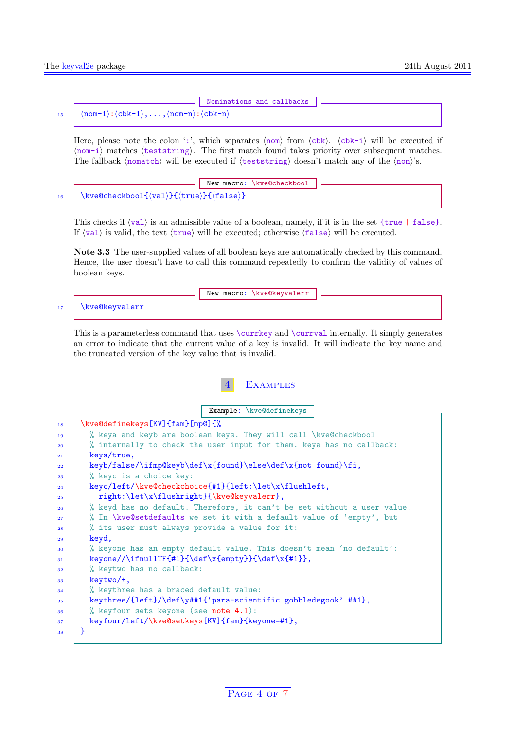## Nominations and callbacks

#### <span id="page-3-1"></span>15  $\langle \text{nom-1}: \langle \text{cbk-1} \rangle, \ldots, \langle \text{nom-n}: \langle \text{cbk-n} \rangle$

Here, please note the colon ':', which separates  $\langle \text{nom} \rangle$  from  $\langle \text{cbk-1} \rangle$  will be executed if  $\langle \text{nom}-i \rangle$  matches  $\langle$  teststring). The first match found takes priority over subsequent matches. The fallback (nomatch) will be executed if  $\langle$  teststring) doesn't match any of the  $\langle$  nom $\rangle$ 's.

New macro: \kve@checkbool 16 \kve@checkbool{ $\{val\}$ { $\{true\}$ }{ $\{false\}$ }

This checks if  $\langle val \rangle$  is an admissible value of a boolean, namely, if it is in the set  ${true | false}.$ If  $\langle val \rangle$  is valid, the text  $\langle true \rangle$  will be executed; otherwise  $\langle false \rangle$  will be executed.

Note 3.3 The user-supplied values of all boolean keys are automatically checked by this command. Hence, the user doesn't have to call this command repeatedly to confirm the validity of values of boolean keys.

|    |                | New macro: \kve@keyvalerr |  |
|----|----------------|---------------------------|--|
| 17 | \kve@keyvalerr |                           |  |

This is a parameterless command that uses \currkey and \currval internally. It simply generates an error to indicate that the current value of a key is invalid. It will indicate the key name and the truncated version of the key value that is invalid.

## **EXAMPLES**

<span id="page-3-0"></span>Example: \kve@definekeys  $_{18}$  \kve@definekeys[KV]{fam}[mp@]{% <sup>19</sup> % keya and keyb are boolean keys. They will call \kve@checkbool  $20$   $\frac{1}{20}$  % internally to check the user input for them. keya has no callback:  $21$  keya/true, 22 keyb/false/\ifmp@keyb\def\x{found}\else\def\x{not found}\fi, % keyc is a choice key: 24 keyc/left/\kve@checkchoice{#1}{left:\let\x\flushleft, 25 | right:\let\x\flushright}{\kve@keyvalerr}, <sup>26</sup> % keyd has no default. Therefore, it can't be set without a user value.  $27$   $\%$  In \kve@setdefaults we set it with a default value of 'empty', but  $28$   $\frac{1}{28}$  % its user must always provide a value for it:  $29$  keyd, <sup>30</sup> % keyone has an empty default value. This doesn't mean 'no default':  $31$  keyone//\ifnullTF{#1}{\def\x{empty}}{\def\x{#1}}, 32 % keytwo has no callback:  $33$  keytwo/+, <sup>34</sup> % keythree has a braced default value: 35 | keythree/{left}/\def\y##1{'para-scientific gobbledegook' ##1},

 $36$  % keyfour sets keyone (see [note 4.1\)](#page-0-1):

37 keyfour/left/\kve@setkeys[KV]{fam}{keyone=#1},

 $\overline{38}$  | }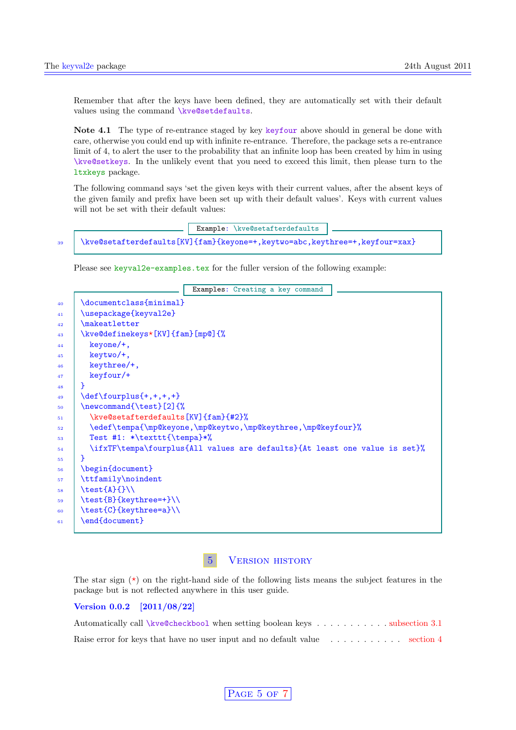<span id="page-4-1"></span>Remember that after the keys have been defined, they are automatically set with their default values using the command \kve@setdefaults.

Note 4.1 The type of re-entrance staged by key keyfour above should in general be done with care, otherwise you could end up with infinite re-entrance. Therefore, the package sets a re-entrance limit of 4, to alert the user to the probability that an infinite loop has been created by him in using \kve@setkeys. In the unlikely event that you need to exceed this limit, then please turn to the ltxkeys package.

The following command says 'set the given keys with their current values, after the absent keys of the given family and prefix have been set up with their default values'. Keys with current values will not be set with their default values:

## Example: \kve@setafterdefaults 39 \kve@setafterdefaults[KV]{fam}{keyone=+,keytwo=abc,keythree=+,keyfour=xax}

Please see keyval2e-examples.tex for the fuller version of the following example:

|                                                                            | Examples: Creating a key command |  |  |
|----------------------------------------------------------------------------|----------------------------------|--|--|
| \documentclass{minimal}                                                    |                                  |  |  |
| \usepackage{keyval2e}                                                      |                                  |  |  |
| \makeatletter                                                              |                                  |  |  |
| \kve@definekeys*[KV]{fam}[mp@]{%                                           |                                  |  |  |
| keyone/+,                                                                  |                                  |  |  |
| keytwo/+,                                                                  |                                  |  |  |
| keythree/+,                                                                |                                  |  |  |
| keyfour/+                                                                  |                                  |  |  |
| ł                                                                          |                                  |  |  |
| $\def\ourplus\{+,+,+,+\}$                                                  |                                  |  |  |
| \newcommand{\test}[2]{%                                                    |                                  |  |  |
| \kve@setafterdefaults[KV]{fam}{#2}%                                        |                                  |  |  |
| \edef\tempa{\mp@keyone,\mp@keytwo,\mp@keythree,\mp@keyfour}%               |                                  |  |  |
| Test #1: *\texttt{\tempa}*%                                                |                                  |  |  |
| \ifxTF\tempa\fourplus{All values are defaults}{At least one value is set}% |                                  |  |  |
| ł                                                                          |                                  |  |  |
| \begin{document}                                                           |                                  |  |  |
| \ttfamily\noindent                                                         |                                  |  |  |
| $\text{Set}$ $\{\}$                                                        |                                  |  |  |
| \test{B}{keythree=+}\\                                                     |                                  |  |  |
| \test{C}{keythree=a}\\                                                     |                                  |  |  |
| \end{document}                                                             |                                  |  |  |

### 5 Version history

<span id="page-4-0"></span>The star sign  $(\star)$  on the right-hand side of the following lists means the subject features in the package but is not reflected anywhere in this user guide.

#### Version 0.0.2 [2011/08/22]

| Automatically call \kve@checkbool when setting boolean keys subsection 3.1                         |  |  |  |
|----------------------------------------------------------------------------------------------------|--|--|--|
| Raise error for keys that have no user input and no default value $\ldots \ldots \ldots$ section 4 |  |  |  |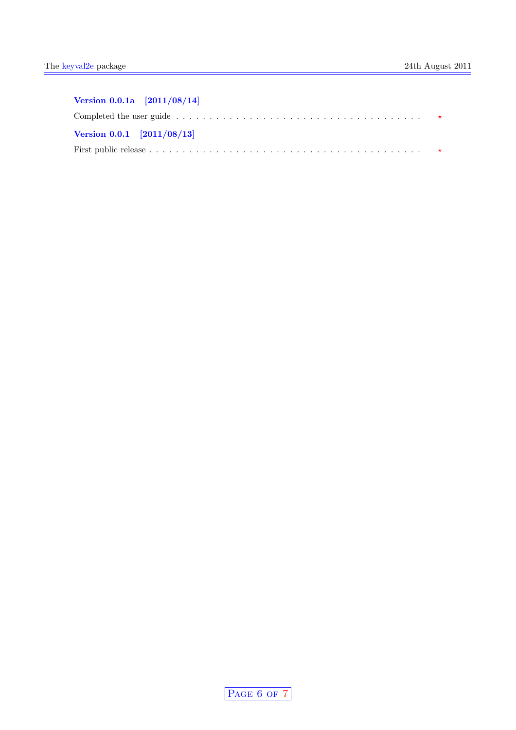| Version $0.0.1a$ [ $2011/08/14$ ] |                                                                                                                                  |  |
|-----------------------------------|----------------------------------------------------------------------------------------------------------------------------------|--|
|                                   | Completed the user guide $\dots \dots \dots \dots \dots \dots \dots \dots \dots \dots \dots \dots \dots \dots \dots \dots \dots$ |  |
| Version $0.0.1$ [ $2011/08/13$ ]  |                                                                                                                                  |  |
|                                   |                                                                                                                                  |  |